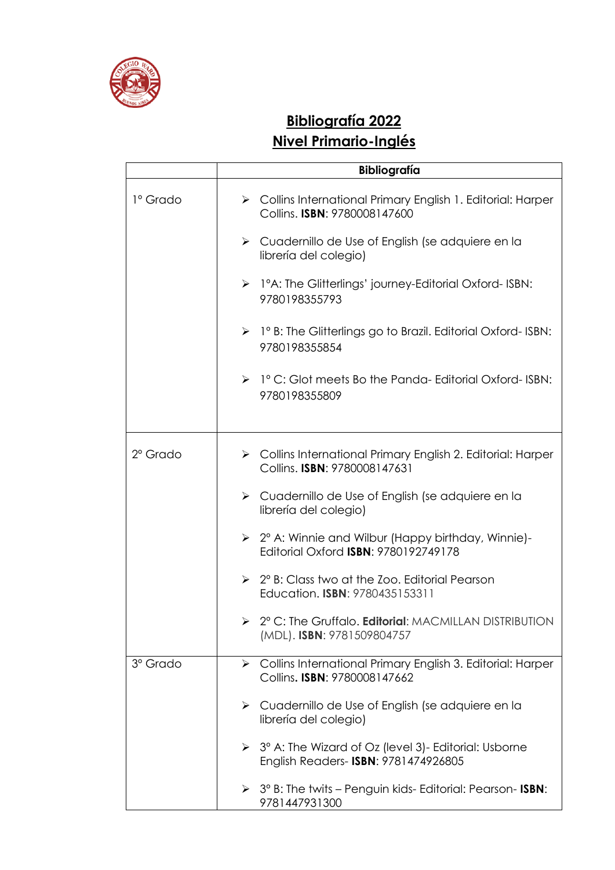

## **Bibliografía 2022 Nivel Primario-Inglés**

|                   | <b>Bibliografía</b>                                                                                          |
|-------------------|--------------------------------------------------------------------------------------------------------------|
| 1º Grado          | > Collins International Primary English 1. Editorial: Harper<br>Collins. ISBN: 9780008147600                 |
|                   | $\triangleright$ Cuadernillo de Use of English (se adquiere en la<br>librería del colegio)                   |
|                   | $\triangleright$ 1°A: The Glitterlings' journey-Editorial Oxford- ISBN:<br>9780198355793                     |
|                   | $\triangleright$ 1° B: The Glitterlings go to Brazil. Editorial Oxford-ISBN:<br>9780198355854                |
|                   | $\triangleright$ 1° C: Glot meets Bo the Panda-Editorial Oxford-ISBN:<br>9780198355809                       |
| $2^{\circ}$ Grado | > Collins International Primary English 2. Editorial: Harper<br>Collins. ISBN: 9780008147631                 |
|                   | $\triangleright$ Cuadernillo de Use of English (se adquiere en la<br>librería del colegio)                   |
|                   | $\geq$ 2° A: Winnie and Wilbur (Happy birthday, Winnie)-<br>Editorial Oxford <b>ISBN: 9780192749178</b>      |
|                   | $\geq$ 2° B: Class two at the Zoo. Editorial Pearson<br>Education. ISBN: 9780435153311                       |
|                   | $\triangleright$ 2° C: The Gruffalo. <b>Editorial</b> : MACMILLAN DISTRIBUTION<br>(MDL). ISBN: 9781509804757 |
| 3º Grado          | > Collins International Primary English 3. Editorial: Harper<br>Collins. ISBN: 9780008147662                 |
|                   | $\triangleright$ Cuadernillo de Use of English (se adquiere en la<br>librería del colegio)                   |
|                   | 3° A: The Wizard of Oz (level 3) - Editorial: Usborne<br>➤<br>English Readers- ISBN: 9781474926805           |
|                   | > 3° B: The twits - Penguin kids- Editorial: Pearson- ISBN:<br>9781447931300                                 |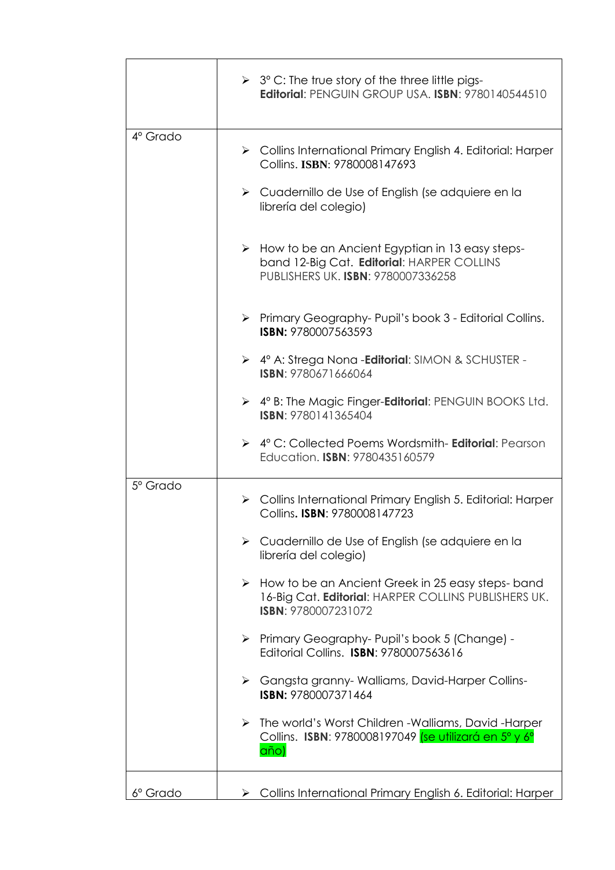|                      | $\geq 3^{\circ}$ C: The true story of the three little pigs-<br>Editorial: PENGUIN GROUP USA. ISBN: 9780140544510                                |
|----------------------|--------------------------------------------------------------------------------------------------------------------------------------------------|
| $4^\circ$ Grado      | $\triangleright$ Collins International Primary English 4. Editorial: Harper<br>Collins. ISBN: 9780008147693                                      |
|                      | > Cuadernillo de Use of English (se adquiere en la<br>librería del colegio)                                                                      |
|                      | > How to be an Ancient Egyptian in 13 easy steps-<br>band 12-Big Cat. Editorial: HARPER COLLINS<br>PUBLISHERS UK. ISBN: 9780007336258            |
|                      | > Primary Geography-Pupil's book 3 - Editorial Collins.<br>ISBN: 9780007563593                                                                   |
|                      | > 4° A: Strega Nona - Editorial: SIMON & SCHUSTER -<br>ISBN: 9780671666064                                                                       |
|                      | $\triangleright$ 4° B: The Magic Finger-Editorial: PENGUIN BOOKS Ltd.<br>ISBN: 9780141365404                                                     |
|                      | → 4° C: Collected Poems Wordsmith- Editorial: Pearson<br>Education. ISBN: 9780435160579                                                          |
| 5 <sup>°</sup> Grado | $\triangleright$ Collins International Primary English 5. Editorial: Harper<br>Collins. ISBN: 9780008147723                                      |
|                      | ▶ Cuadernillo de Use of English (se adquiere en la<br>librería del colegio)                                                                      |
|                      | $\triangleright$ How to be an Ancient Greek in 25 easy steps-band<br>16-Big Cat. Editorial: HARPER COLLINS PUBLISHERS UK.<br>ISBN: 9780007231072 |
|                      | > Primary Geography- Pupil's book 5 (Change) -<br>Editorial Collins. ISBN: 9780007563616                                                         |
|                      | > Gangsta granny-Walliams, David-Harper Collins-<br>ISBN: 9780007371464                                                                          |
|                      | > The world's Worst Children - Walliams, David - Harper<br>Collins. ISBN: 9780008197049 (se utilizará en 5° y 6°<br>año)                         |
| 6º Grado             | > Collins International Primary English 6. Editorial: Harper                                                                                     |